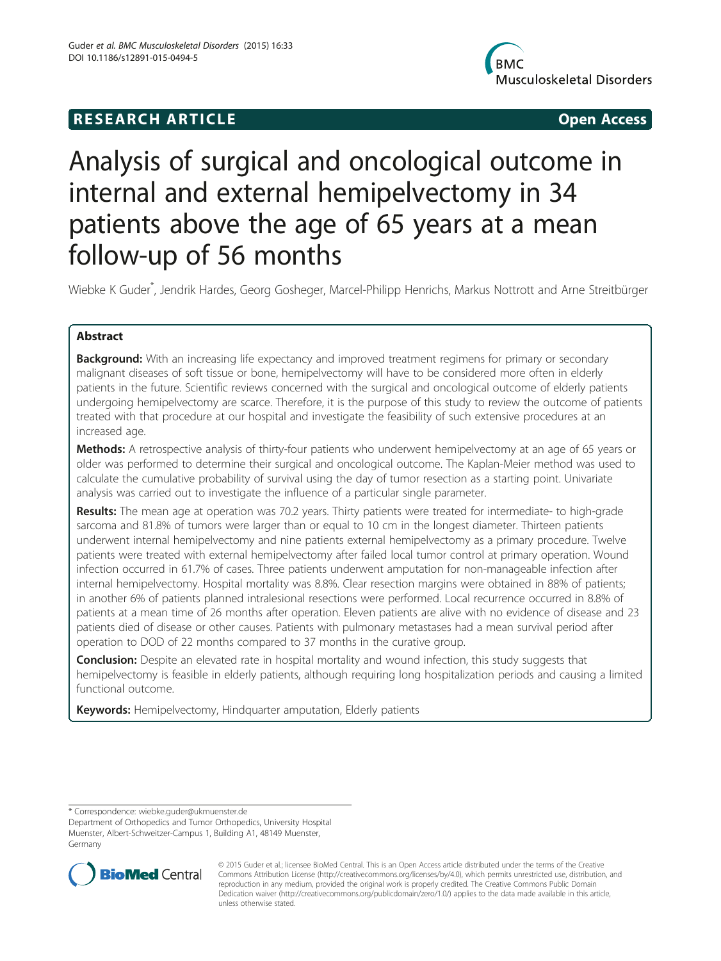## **RESEARCH ARTICLE Example 2018 12:00 Open Access**



# Analysis of surgical and oncological outcome in internal and external hemipelvectomy in 34 patients above the age of 65 years at a mean follow-up of 56 months

Wiebke K Guder\* , Jendrik Hardes, Georg Gosheger, Marcel-Philipp Henrichs, Markus Nottrott and Arne Streitbürger

## Abstract

**Background:** With an increasing life expectancy and improved treatment regimens for primary or secondary malignant diseases of soft tissue or bone, hemipelvectomy will have to be considered more often in elderly patients in the future. Scientific reviews concerned with the surgical and oncological outcome of elderly patients undergoing hemipelvectomy are scarce. Therefore, it is the purpose of this study to review the outcome of patients treated with that procedure at our hospital and investigate the feasibility of such extensive procedures at an increased age.

Methods: A retrospective analysis of thirty-four patients who underwent hemipelvectomy at an age of 65 years or older was performed to determine their surgical and oncological outcome. The Kaplan-Meier method was used to calculate the cumulative probability of survival using the day of tumor resection as a starting point. Univariate analysis was carried out to investigate the influence of a particular single parameter.

Results: The mean age at operation was 70.2 years. Thirty patients were treated for intermediate- to high-grade sarcoma and 81.8% of tumors were larger than or equal to 10 cm in the longest diameter. Thirteen patients underwent internal hemipelvectomy and nine patients external hemipelvectomy as a primary procedure. Twelve patients were treated with external hemipelvectomy after failed local tumor control at primary operation. Wound infection occurred in 61.7% of cases. Three patients underwent amputation for non-manageable infection after internal hemipelvectomy. Hospital mortality was 8.8%. Clear resection margins were obtained in 88% of patients; in another 6% of patients planned intralesional resections were performed. Local recurrence occurred in 8.8% of patients at a mean time of 26 months after operation. Eleven patients are alive with no evidence of disease and 23 patients died of disease or other causes. Patients with pulmonary metastases had a mean survival period after operation to DOD of 22 months compared to 37 months in the curative group.

**Conclusion:** Despite an elevated rate in hospital mortality and wound infection, this study suggests that hemipelvectomy is feasible in elderly patients, although requiring long hospitalization periods and causing a limited functional outcome.

Keywords: Hemipelvectomy, Hindquarter amputation, Elderly patients

\* Correspondence: [wiebke.guder@ukmuenster.de](mailto:wiebke.guder@ukmuenster.de)

Department of Orthopedics and Tumor Orthopedics, University Hospital Muenster, Albert-Schweitzer-Campus 1, Building A1, 48149 Muenster, Germany



© 2015 Guder et al.; licensee BioMed Central. This is an Open Access article distributed under the terms of the Creative Commons Attribution License [\(http://creativecommons.org/licenses/by/4.0\)](http://creativecommons.org/licenses/by/4.0), which permits unrestricted use, distribution, and reproduction in any medium, provided the original work is properly credited. The Creative Commons Public Domain Dedication waiver [\(http://creativecommons.org/publicdomain/zero/1.0/](http://creativecommons.org/publicdomain/zero/1.0/)) applies to the data made available in this article, unless otherwise stated.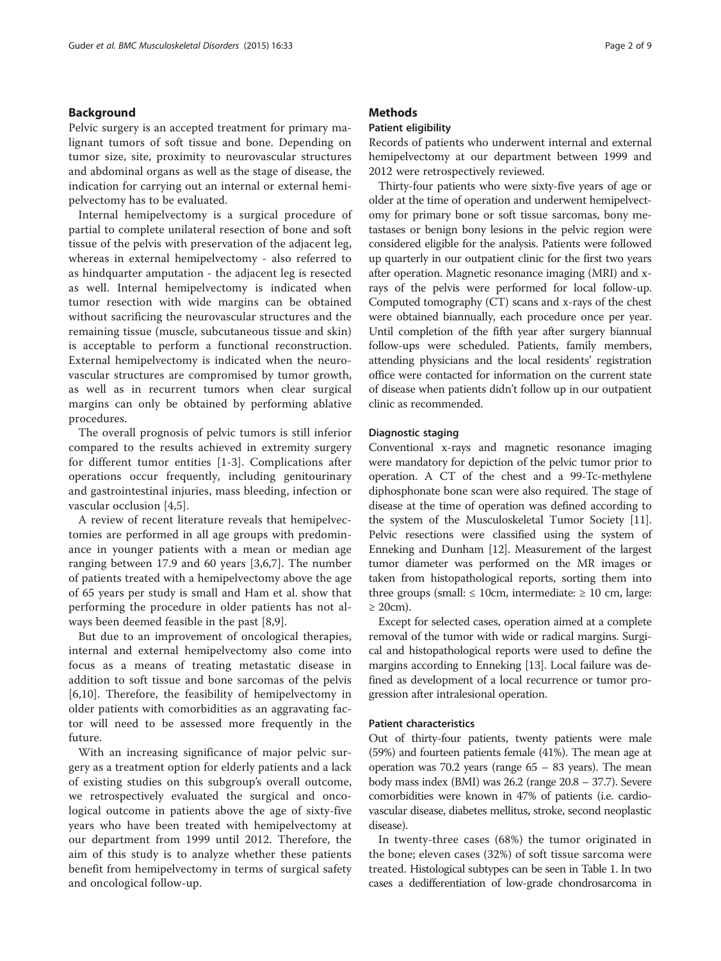## Background

Pelvic surgery is an accepted treatment for primary malignant tumors of soft tissue and bone. Depending on tumor size, site, proximity to neurovascular structures and abdominal organs as well as the stage of disease, the indication for carrying out an internal or external hemipelvectomy has to be evaluated.

Internal hemipelvectomy is a surgical procedure of partial to complete unilateral resection of bone and soft tissue of the pelvis with preservation of the adjacent leg, whereas in external hemipelvectomy - also referred to as hindquarter amputation - the adjacent leg is resected as well. Internal hemipelvectomy is indicated when tumor resection with wide margins can be obtained without sacrificing the neurovascular structures and the remaining tissue (muscle, subcutaneous tissue and skin) is acceptable to perform a functional reconstruction. External hemipelvectomy is indicated when the neurovascular structures are compromised by tumor growth, as well as in recurrent tumors when clear surgical margins can only be obtained by performing ablative procedures.

The overall prognosis of pelvic tumors is still inferior compared to the results achieved in extremity surgery for different tumor entities [[1-3](#page-8-0)]. Complications after operations occur frequently, including genitourinary and gastrointestinal injuries, mass bleeding, infection or vascular occlusion [[4,5\]](#page-8-0).

A review of recent literature reveals that hemipelvectomies are performed in all age groups with predominance in younger patients with a mean or median age ranging between 17.9 and 60 years [[3,6,7](#page-8-0)]. The number of patients treated with a hemipelvectomy above the age of 65 years per study is small and Ham et al. show that performing the procedure in older patients has not always been deemed feasible in the past [[8,9\]](#page-8-0).

But due to an improvement of oncological therapies, internal and external hemipelvectomy also come into focus as a means of treating metastatic disease in addition to soft tissue and bone sarcomas of the pelvis [[6,10](#page-8-0)]. Therefore, the feasibility of hemipelvectomy in older patients with comorbidities as an aggravating factor will need to be assessed more frequently in the future.

With an increasing significance of major pelvic surgery as a treatment option for elderly patients and a lack of existing studies on this subgroup's overall outcome, we retrospectively evaluated the surgical and oncological outcome in patients above the age of sixty-five years who have been treated with hemipelvectomy at our department from 1999 until 2012. Therefore, the aim of this study is to analyze whether these patients benefit from hemipelvectomy in terms of surgical safety and oncological follow-up.

## **Methods**

## Patient eligibility

Records of patients who underwent internal and external hemipelvectomy at our department between 1999 and 2012 were retrospectively reviewed.

Thirty-four patients who were sixty-five years of age or older at the time of operation and underwent hemipelvectomy for primary bone or soft tissue sarcomas, bony metastases or benign bony lesions in the pelvic region were considered eligible for the analysis. Patients were followed up quarterly in our outpatient clinic for the first two years after operation. Magnetic resonance imaging (MRI) and xrays of the pelvis were performed for local follow-up. Computed tomography (CT) scans and x-rays of the chest were obtained biannually, each procedure once per year. Until completion of the fifth year after surgery biannual follow-ups were scheduled. Patients, family members, attending physicians and the local residents' registration office were contacted for information on the current state of disease when patients didn't follow up in our outpatient clinic as recommended.

## Diagnostic staging

Conventional x-rays and magnetic resonance imaging were mandatory for depiction of the pelvic tumor prior to operation. A CT of the chest and a 99-Tc-methylene diphosphonate bone scan were also required. The stage of disease at the time of operation was defined according to the system of the Musculoskeletal Tumor Society [[11](#page-8-0)]. Pelvic resections were classified using the system of Enneking and Dunham [[12](#page-8-0)]. Measurement of the largest tumor diameter was performed on the MR images or taken from histopathological reports, sorting them into three groups (small:  $\leq 10$ cm, intermediate:  $\geq 10$  cm, large:  $\geq$  20cm).

Except for selected cases, operation aimed at a complete removal of the tumor with wide or radical margins. Surgical and histopathological reports were used to define the margins according to Enneking [\[13\]](#page-8-0). Local failure was defined as development of a local recurrence or tumor progression after intralesional operation.

## Patient characteristics

Out of thirty-four patients, twenty patients were male (59%) and fourteen patients female (41%). The mean age at operation was 70.2 years (range 65 – 83 years). The mean body mass index (BMI) was 26.2 (range 20.8 – 37.7). Severe comorbidities were known in 47% of patients (i.e. cardiovascular disease, diabetes mellitus, stroke, second neoplastic disease).

In twenty-three cases (68%) the tumor originated in the bone; eleven cases (32%) of soft tissue sarcoma were treated. Histological subtypes can be seen in Table [1](#page-2-0). In two cases a dedifferentiation of low-grade chondrosarcoma in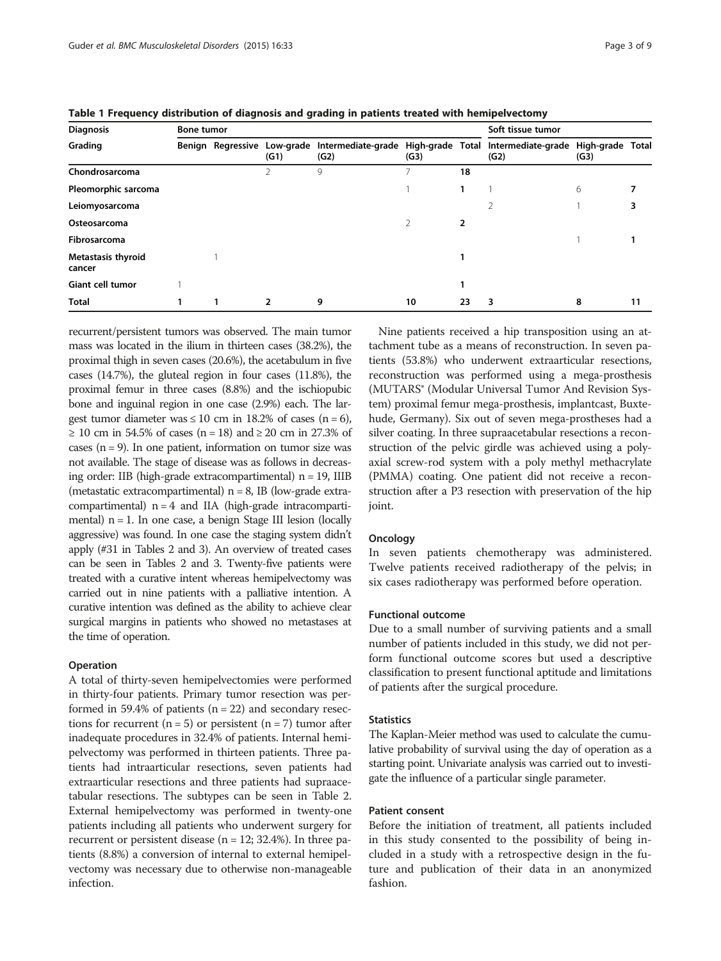| <b>Diagnosis</b>             | <b>Bone tumor</b> |      | Soft tissue tumor                                                                                           |      |                |      |      |  |
|------------------------------|-------------------|------|-------------------------------------------------------------------------------------------------------------|------|----------------|------|------|--|
| Grading                      |                   | (G1) | Benign Regressive Low-grade Intermediate-grade High-grade Total Intermediate-grade High-grade Total<br>(G2) | (G3) |                | (G2) | (G3) |  |
| Chondrosarcoma               |                   |      | 9                                                                                                           |      | 18             |      |      |  |
| Pleomorphic sarcoma          |                   |      |                                                                                                             |      | 1              |      | 6    |  |
| Leiomyosarcoma               |                   |      |                                                                                                             |      |                |      |      |  |
| Osteosarcoma                 |                   |      |                                                                                                             |      | $\overline{2}$ |      |      |  |
| Fibrosarcoma                 |                   |      |                                                                                                             |      |                |      |      |  |
| Metastasis thyroid<br>cancer |                   |      |                                                                                                             |      |                |      |      |  |
| Giant cell tumor             |                   |      |                                                                                                             |      |                |      |      |  |
| <b>Total</b>                 |                   |      | 9                                                                                                           | 10   | 23             | 3    | 8    |  |

<span id="page-2-0"></span>Table 1 Frequency distribution of diagnosis and grading in patients treated with hemipelvectomy

recurrent/persistent tumors was observed. The main tumor mass was located in the ilium in thirteen cases (38.2%), the proximal thigh in seven cases (20.6%), the acetabulum in five cases (14.7%), the gluteal region in four cases (11.8%), the proximal femur in three cases (8.8%) and the ischiopubic bone and inguinal region in one case (2.9%) each. The largest tumor diameter was  $\leq 10$  cm in 18.2% of cases (n = 6), ≥ 10 cm in 54.5% of cases (n = 18) and ≥ 20 cm in 27.3% of cases  $(n = 9)$ . In one patient, information on tumor size was not available. The stage of disease was as follows in decreasing order: IIB (high-grade extracompartimental)  $n = 19$ , IIIB (metastatic extracompartimental)  $n = 8$ , IB (low-grade extracompartimental)  $n = 4$  and IIA (high-grade intracompartimental)  $n = 1$ . In one case, a benign Stage III lesion (locally aggressive) was found. In one case the staging system didn't apply (#31 in Tables [2](#page-3-0) and [3](#page-4-0)). An overview of treated cases can be seen in Tables [2](#page-3-0) and [3](#page-4-0). Twenty-five patients were treated with a curative intent whereas hemipelvectomy was carried out in nine patients with a palliative intention. A curative intention was defined as the ability to achieve clear surgical margins in patients who showed no metastases at the time of operation.

## Operation

A total of thirty-seven hemipelvectomies were performed in thirty-four patients. Primary tumor resection was performed in 59.4% of patients  $(n = 22)$  and secondary resections for recurrent ( $n = 5$ ) or persistent ( $n = 7$ ) tumor after inadequate procedures in 32.4% of patients. Internal hemipelvectomy was performed in thirteen patients. Three patients had intraarticular resections, seven patients had extraarticular resections and three patients had supraacetabular resections. The subtypes can be seen in Table [2](#page-3-0). External hemipelvectomy was performed in twenty-one patients including all patients who underwent surgery for recurrent or persistent disease ( $n = 12$ ; 32.4%). In three patients (8.8%) a conversion of internal to external hemipelvectomy was necessary due to otherwise non-manageable infection.

Nine patients received a hip transposition using an attachment tube as a means of reconstruction. In seven patients (53.8%) who underwent extraarticular resections, reconstruction was performed using a mega-prosthesis (MUTARS® (Modular Universal Tumor And Revision System) proximal femur mega-prosthesis, implantcast, Buxtehude, Germany). Six out of seven mega-prostheses had a silver coating. In three supraacetabular resections a reconstruction of the pelvic girdle was achieved using a polyaxial screw-rod system with a poly methyl methacrylate (PMMA) coating. One patient did not receive a reconstruction after a P3 resection with preservation of the hip joint.

## **Oncology**

In seven patients chemotherapy was administered. Twelve patients received radiotherapy of the pelvis; in six cases radiotherapy was performed before operation.

#### Functional outcome

Due to a small number of surviving patients and a small number of patients included in this study, we did not perform functional outcome scores but used a descriptive classification to present functional aptitude and limitations of patients after the surgical procedure.

## **Statistics**

The Kaplan-Meier method was used to calculate the cumulative probability of survival using the day of operation as a starting point. Univariate analysis was carried out to investigate the influence of a particular single parameter.

## Patient consent

Before the initiation of treatment, all patients included in this study consented to the possibility of being included in a study with a retrospective design in the future and publication of their data in an anonymized fashion.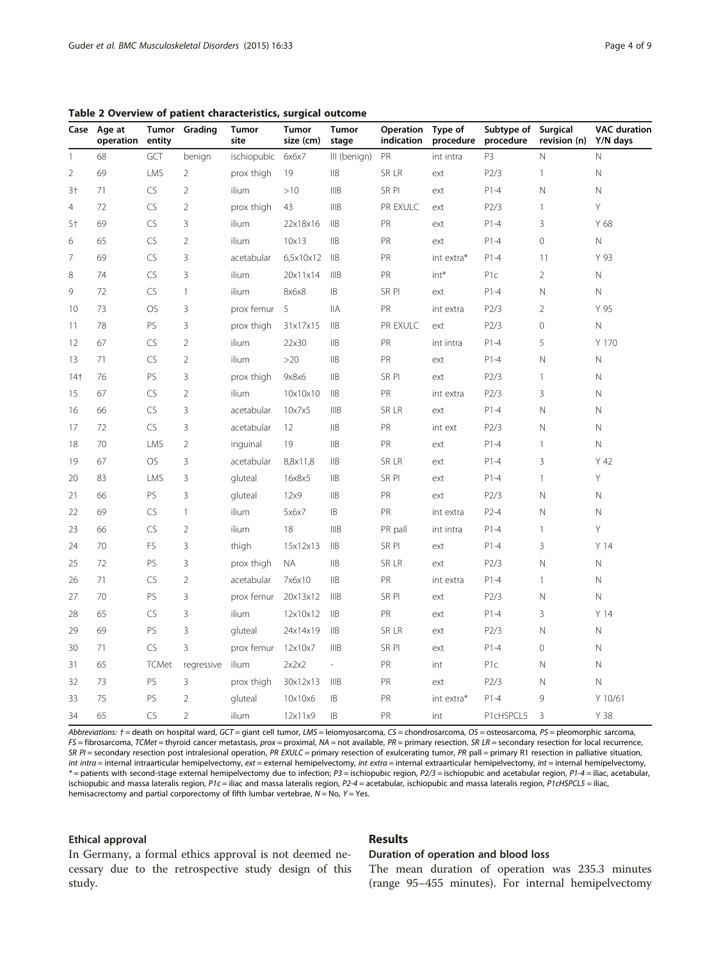|                | Case Age at<br>operation | Tumor<br>entity | Grading        | Tumor<br>site | <b>Tumor</b><br>size (cm) | Tumor<br>stage           | Operation<br>indication | Type of<br>procedure | Subtype of<br>procedure | Surgical<br>revision (n) | <b>VAC duration</b><br>Y/N days |
|----------------|--------------------------|-----------------|----------------|---------------|---------------------------|--------------------------|-------------------------|----------------------|-------------------------|--------------------------|---------------------------------|
| $\mathbf{1}$   | 68                       | GCT             | benign         | ischiopubic   | 6x6x7                     | III (benign)             | PR                      | int intra            | P3                      | $\mathbb N$              | $\mathsf{N}$                    |
| $\overline{2}$ | 69                       | <b>LMS</b>      | 2              | prox thigh    | 19                        | <b>IIB</b>               | SR LR                   | ext                  | P2/3                    | $\overline{1}$           | N                               |
| $3+$           | 71                       | CS              | $\overline{2}$ | ilium         | >10                       | <b>IIIB</b>              | SR <sub>PI</sub>        | ext                  | $P1-4$                  | $\mathbb N$              | $\mathsf{N}$                    |
| 4              | 72                       | <b>CS</b>       | $\overline{2}$ | prox thigh    | 43                        | <b>IIIB</b>              | PR EXULC                | ext                  | P2/3                    | $\mathbf{1}$             | Υ                               |
| 5†             | 69                       | CS              | 3              | ilium         | 22x18x16                  | IIB                      | PR                      | ext                  | $P1-4$                  | 3                        | Y 68                            |
| 6              | 65                       | <b>CS</b>       | $\overline{2}$ | ilium         | 10x13                     | IIB                      | PR                      | ext                  | $P1-4$                  | $\overline{0}$           | $\mathsf{N}$                    |
| 7              | 69                       | CS              | 3              | acetabular    | 6,5x10x12                 | IIB                      | PR                      | int extra*           | $P1-4$                  | 11                       | Y 93                            |
| 8              | 74                       | CS              | 3              | ilium         | 20x11x14                  | <b>IIIB</b>              | PR                      | int*                 | P <sub>1c</sub>         | $\overline{2}$           | N                               |
| 9              | 72                       | CS              | $\mathbf{1}$   | ilium         | 8x6x8                     | IB                       | SR PI                   | ext                  | $P1-4$                  | $\mathbb N$              | $\mathsf{N}$                    |
| 10             | 73                       | <b>OS</b>       | 3              | prox femur    | 5                         | <b>IIA</b>               | PR                      | int extra            | P2/3                    | $\overline{2}$           | Y 95                            |
| 11             | 78                       | PS              | 3              | prox thigh    | 31x17x15                  | IIB                      | PR EXULC                | ext                  | P2/3                    | $\mathbf 0$              | $\mathsf{N}$                    |
| 12             | 67                       | <b>CS</b>       | $\overline{2}$ | ilium         | 22x30                     | IIB                      | PR                      | int intra            | $P1-4$                  | 5                        | Y 170                           |
| 13             | 71                       | CS              | $\overline{2}$ | ilium         | >20                       | IIB                      | PR                      | ext                  | $P1-4$                  | $\mathbb N$              | Ν                               |
| $14+$          | 76                       | PS              | 3              | prox thigh    | 9x8x6                     | <b>IIB</b>               | SR <sub>PI</sub>        | ext                  | P2/3                    | $\overline{1}$           | N                               |
| 15             | 67                       | CS              | $\overline{2}$ | ilium         | 10x10x10                  | IIB                      | PR                      | int extra            | P2/3                    | 3                        | $\mathsf{N}$                    |
| 16             | 66                       | CS              | 3              | acetabular    | 10x7x5                    | <b>IIIB</b>              | SR LR                   | ext                  | $P1-4$                  | N                        | Ν                               |
| 17             | 72                       | CS              | 3              | acetabular    | 12                        | IIB                      | PR                      | int ext              | P2/3                    | $\mathbb N$              | $\mathsf{N}$                    |
| 18             | 70                       | LMS             | $\overline{2}$ | inguinal      | 19                        | IIB                      | PR                      | ext                  | $P1-4$                  | $\overline{1}$           | $\mathsf{N}$                    |
| 19             | 67                       | <b>OS</b>       | 3              | acetabular    | 8,8x11,8                  | IIB                      | SR LR                   | ext                  | $P1-4$                  | 3                        | Y 42                            |
| 20             | 83                       | LMS             | 3              | gluteal       | 16x8x5                    | IIB                      | SR <sub>PI</sub>        | ext                  | $P1-4$                  | $\mathbf{1}$             | Υ                               |
| 21             | 66                       | PS              | 3              | gluteal       | 12x9                      | IIB                      | PR                      | ext                  | P2/3                    | $\mathbb N$              | $\mathsf{N}$                    |
| 22             | 69                       | CS              | 1              | ilium         | 5x6x7                     | IB                       | PR                      | int extra            | P <sub>2</sub> -4       | $\mathbb N$              | Ν                               |
| 23             | 66                       | CS              | $\overline{2}$ | ilium         | 18                        | <b>IIIB</b>              | PR pall                 | int intra            | $P1-4$                  | $\mathbf{1}$             | Y                               |
| 24             | 70                       | FS              | 3              | thigh         | 15x12x13                  | IIB                      | SR PI                   | ext                  | $P1-4$                  | 3                        | Y 14                            |
| 25             | 72                       | PS              | 3              | prox thigh    | <b>NA</b>                 | <b>IIB</b>               | SR LR                   | ext                  | P2/3                    | N                        | N                               |
| 26             | 71                       | CS              | $\overline{2}$ | acetabular    | 7x6x10                    | IIB                      | PR                      | int extra            | $P1-4$                  | $\mathbf{1}$             | N                               |
| 27             | 70                       | PS              | 3              | prox femur    | 20x13x12                  | <b>IIIB</b>              | SR PI                   | ext                  | P2/3                    | N                        | N                               |
| 28             | 65                       | CS              | 3              | ilium         | 12x10x12                  | IIB                      | PR                      | ext                  | $P1-4$                  | 3                        | Y 14                            |
| 29             | 69                       | PS              | 3              | gluteal       | 24x14x19                  | IIB                      | SR LR                   | ext                  | P2/3                    | N                        | N                               |
| 30             | 71                       | CS              | 3              | prox femur    | 12x10x7                   | <b>IIIB</b>              | SR <sub>PI</sub>        | ext                  | $P1-4$                  | $\mathbf 0$              | $\mathsf{N}$                    |
| 31             | 65                       | <b>TCMet</b>    | regressive     | ilium         | 2x2x2                     | $\overline{\phantom{a}}$ | PR                      | int                  | P <sub>1</sub> c        | N                        | N                               |
| 32             | 73                       | PS              | 3              | prox thigh    | 30x12x13                  | <b>IIIB</b>              | PR                      | ext                  | P2/3                    | $\mathbb N$              | $\mathsf{N}$                    |
| 33             | 75                       | PS              | $\overline{2}$ | gluteal       | 10x10x6                   | <b>IB</b>                | PR                      | int extra*           | $P1-4$                  | 9                        | Y 10/61                         |
| 34             | 65                       | CS              | $\overline{2}$ | ilium         | 12x11x9                   | IB                       | PR                      | int                  | P1cHSPCL5               | $\overline{3}$           | Y 38                            |

<span id="page-3-0"></span>Table 2 Overview of patient characteristics, surgical outcome

Abbreviations:  $t$  = death on hospital ward, GCT = giant cell tumor, LMS = leiomyosarcoma, CS = chondrosarcoma, OS = osteosarcoma, PS = pleomorphic sarcoma, FS = fibrosarcoma, TCMet = thyroid cancer metastasis, prox = proximal, NA = not available, PR = primary resection, SR LR = secondary resection for local recurrence,  $SR$  PI = secondary resection post intralesional operation, PR EXULC = primary resection of exulcerating tumor, PR pall = primary R1 resection in palliative situation, int intra = internal intraarticular hemipelvectomy, ext = external hemipelvectomy, int extra = internal extraarticular hemipelvectomy, int = internal hemipelvectomy, \* = patients with second-stage external hemipelvectomy due to infection; P3 = ischiopubic region, P2/3 = ischiopubic and acetabular region, P1-4 = iliac, acetabular, ischiopubic and massa lateralis region, P1c = iliac and massa lateralis region, P2-4 = acetabular, ischiopubic and massa lateralis region, P1cHSPCL5 = iliac, hemisacrectomy and partial corporectomy of fifth lumbar vertebrae,  $N = No$ ,  $Y = Yes$ .

## Ethical approval

In Germany, a formal ethics approval is not deemed necessary due to the retrospective study design of this study.

## Results

#### Duration of operation and blood loss

The mean duration of operation was 235.3 minutes (range 95–455 minutes). For internal hemipelvectomy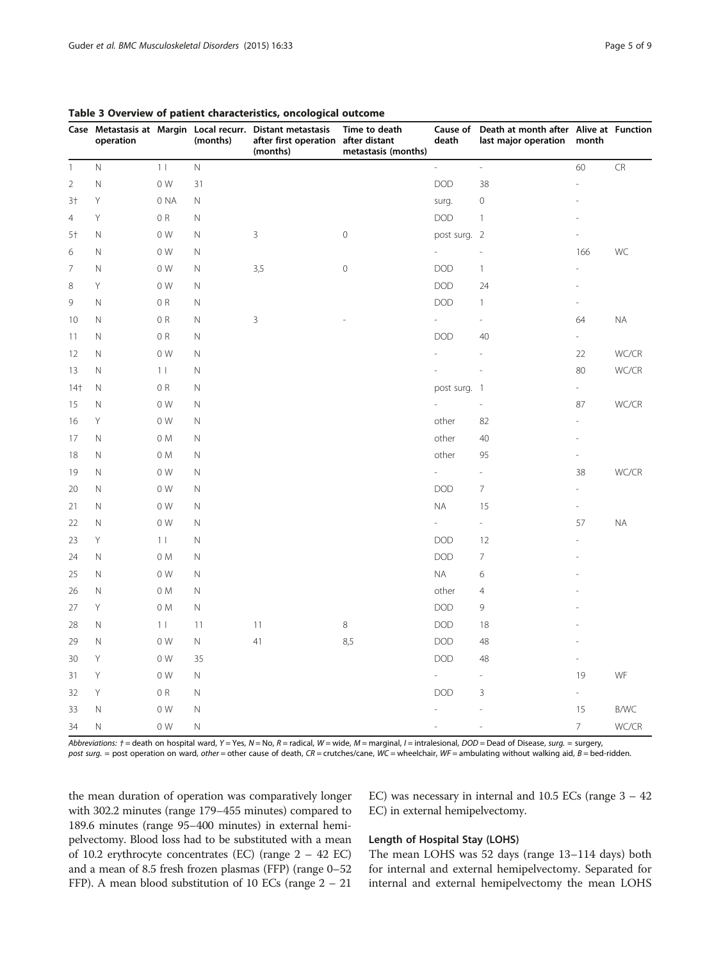|                          | operation    |                | (months)     | Case Metastasis at Margin Local recurr. Distant metastasis<br>after first operation after distant<br>(months) | Time to death<br>metastasis (months) | death                    | Cause of Death at month after Alive at Function<br>last major operation month |                             |            |
|--------------------------|--------------|----------------|--------------|---------------------------------------------------------------------------------------------------------------|--------------------------------------|--------------------------|-------------------------------------------------------------------------------|-----------------------------|------------|
| $\mathbf{1}$             | $\hbox{N}$   | 1 <sub>1</sub> | $\mathsf{N}$ |                                                                                                               |                                      | $\overline{\phantom{a}}$ | $\mathcal{L}_{\mathcal{A}}$                                                   | 60                          | ${\sf CR}$ |
| $\overline{2}$           | $\hbox{N}$   | 0 W            | 31           |                                                                                                               |                                      | <b>DOD</b>               | 38                                                                            | $\sim$                      |            |
| $3+$                     | Υ            | 0 NA           | $\mathbb N$  |                                                                                                               |                                      | surg.                    | $\mathbf 0$                                                                   |                             |            |
| $\overline{4}$           | Υ            | 0R             | $\mathbb N$  |                                                                                                               |                                      | <b>DOD</b>               | $\mathbf{1}$                                                                  |                             |            |
| $5+$                     | $\mathsf N$  | 0 W            | $\mathbb N$  | 3                                                                                                             | $\mathbf 0$                          | post surg. 2             |                                                                               |                             |            |
| 6                        | $\hbox{N}$   | 0 W            | $\mathbb N$  |                                                                                                               |                                      | $\overline{\phantom{a}}$ | L,                                                                            | 166                         | WC         |
| $\overline{\mathcal{I}}$ | N            | 0 W            | N            | 3,5                                                                                                           | $\mathbf 0$                          | <b>DOD</b>               | $\mathbf{1}$                                                                  |                             |            |
| 8                        | Υ            | 0 W            | $\mathbb N$  |                                                                                                               |                                      | <b>DOD</b>               | 24                                                                            |                             |            |
| 9                        | N            | 0R             | $\mathbb N$  |                                                                                                               |                                      | <b>DOD</b>               | $\mathbf{1}$                                                                  | ÷,                          |            |
| 10                       | N            | 0R             | $\mathbb N$  | 3                                                                                                             |                                      | $\mathcal{L}^{\pm}$      | $\overline{\phantom{a}}$                                                      | 64                          | <b>NA</b>  |
| 11                       | $\mathsf N$  | 0 R            | $\mathbb N$  |                                                                                                               |                                      | <b>DOD</b>               | 40                                                                            | $\overline{\phantom{a}}$    |            |
| 12                       | $\mathsf N$  | 0 W            | $\mathbb N$  |                                                                                                               |                                      |                          |                                                                               | 22                          | WC/CR      |
| 13                       | Ν            | 1 <sub>1</sub> | $\mathbb N$  |                                                                                                               |                                      |                          | L                                                                             | 80                          | WC/CR      |
| $14+$                    | $\mathbb N$  | 0R             | $\mathbb N$  |                                                                                                               |                                      | post surg. 1             |                                                                               | $\mathcal{L}_{\mathcal{A}}$ |            |
| 15                       | Ν            | 0 W            | N            |                                                                                                               |                                      | $\overline{\phantom{a}}$ | ÷,                                                                            | 87                          | WC/CR      |
| 16                       | Y            | 0 W            | $\mathbb N$  |                                                                                                               |                                      | other                    | 82                                                                            | $\overline{\phantom{a}}$    |            |
| 17                       | $\mathsf N$  | 0 M            | $\mathbb N$  |                                                                                                               |                                      | other                    | 40                                                                            | J.                          |            |
| 18                       | $\mathbb N$  | 0 M            | $\mathbb N$  |                                                                                                               |                                      | other                    | 95                                                                            | ÷,                          |            |
| 19                       | $\mathbb N$  | 0 W            | $\mathbb N$  |                                                                                                               |                                      | $\mathbb{Z}^2$           | $\overline{\phantom{a}}$                                                      | 38                          | WC/CR      |
| 20                       | N            | 0 W            | $\mathbb N$  |                                                                                                               |                                      | <b>DOD</b>               | $7\overline{ }$                                                               | $\overline{\phantom{a}}$    |            |
| 21                       | N            | 0 W            | $\mathbb N$  |                                                                                                               |                                      | <b>NA</b>                | 15                                                                            | $\overline{\phantom{a}}$    |            |
| 22                       | $\mathsf N$  | 0 W            | $\mathbb N$  |                                                                                                               |                                      | ä,                       | $\mathcal{L}^{\pm}$                                                           | 57                          | <b>NA</b>  |
| 23                       | Υ            | 1 <sub>1</sub> | $\mathbb N$  |                                                                                                               |                                      | <b>DOD</b>               | 12                                                                            | $\overline{\phantom{a}}$    |            |
| 24                       | $\mathbb N$  | 0 M            | $\mathbb N$  |                                                                                                               |                                      | <b>DOD</b>               | $\overline{7}$                                                                |                             |            |
| 25                       | Ν            | 0 W            | $\mathbb N$  |                                                                                                               |                                      | <b>NA</b>                | 6                                                                             |                             |            |
| 26                       | Ν            | 0 M            | $\mathbb N$  |                                                                                                               |                                      | other                    | $\overline{4}$                                                                |                             |            |
| 27                       | Υ            | 0 M            | $\mathbb N$  |                                                                                                               |                                      | $\mathsf{DOD}$           | 9                                                                             |                             |            |
| 28                       | Ν            | $1 \mid$       | 11           | 11                                                                                                            | 8                                    | <b>DOD</b>               | 18                                                                            |                             |            |
| 29                       | Ν            | 0 W            | $\mathsf{N}$ | 41                                                                                                            | 8,5                                  | <b>DOD</b>               | 48                                                                            |                             |            |
| 30                       | Y            | 0 W            | 35           |                                                                                                               |                                      | <b>DOD</b>               | 48                                                                            | ÷,                          |            |
| 31                       | Υ            | 0 W            | $\mathsf{N}$ |                                                                                                               |                                      | $\overline{\phantom{a}}$ | $\overline{\phantom{a}}$                                                      | 19                          | WF         |
| 32                       | Υ            | 0R             | $\mathbb N$  |                                                                                                               |                                      | <b>DOD</b>               | $\mathsf 3$                                                                   | $\overline{\phantom{a}}$    |            |
| 33                       | $\mathsf N$  | 0 W            | $\mathbb N$  |                                                                                                               |                                      |                          |                                                                               | 15                          | B/WC       |
| 34                       | $\mathsf{N}$ | 0 W            | $\mathbb N$  |                                                                                                               |                                      | $\sim$                   | $\sim$                                                                        | $7\overline{ }$             | WC/CR      |

## <span id="page-4-0"></span>Table 3 Overview of patient characteristics, oncological outcome

Abbreviations:  $t =$  death on hospital ward,  $Y = Yes$ ,  $N = No$ ,  $R =$  radical,  $W =$  wide,  $M =$  marginal,  $I =$  intralesional,  $DOD =$  Dead of Disease, surg. = surgery, post surg. = post operation on ward, other = other cause of death, CR = crutches/cane, WC = wheelchair, WF = ambulating without walking aid, B = bed-ridden.

the mean duration of operation was comparatively longer with 302.2 minutes (range 179–455 minutes) compared to 189.6 minutes (range 95–400 minutes) in external hemipelvectomy. Blood loss had to be substituted with a mean of 10.2 erythrocyte concentrates (EC) (range 2 – 42 EC) and a mean of 8.5 fresh frozen plasmas (FFP) (range 0–52 FFP). A mean blood substitution of 10 ECs (range 2 – 21

EC) was necessary in internal and  $10.5$  ECs (range  $3 - 42$ EC) in external hemipelvectomy.

## Length of Hospital Stay (LOHS)

The mean LOHS was 52 days (range 13–114 days) both for internal and external hemipelvectomy. Separated for internal and external hemipelvectomy the mean LOHS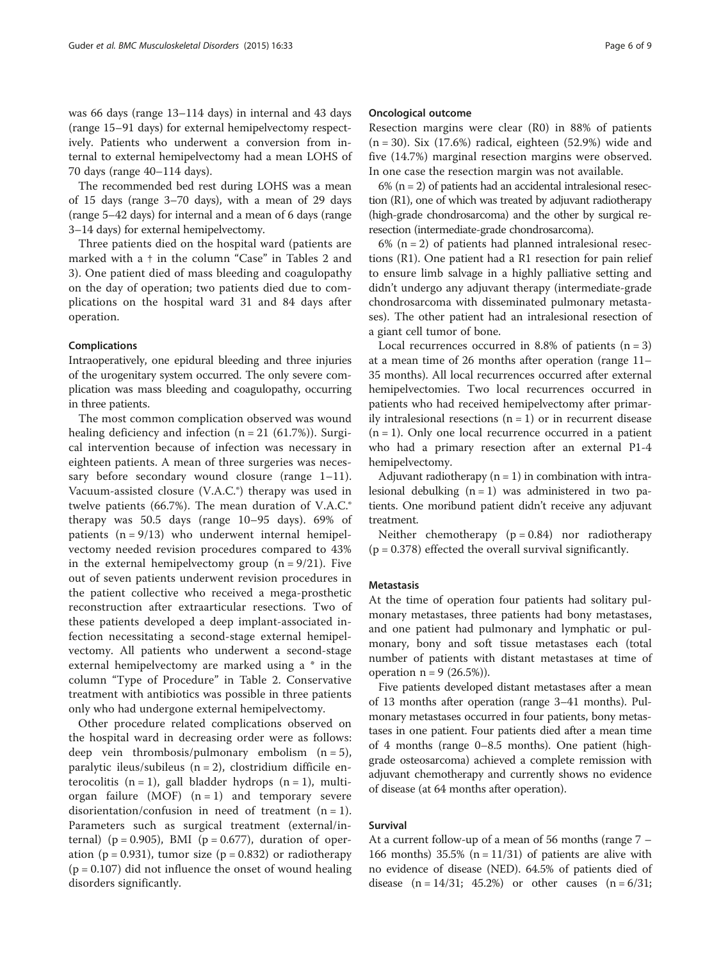was 66 days (range 13–114 days) in internal and 43 days (range 15–91 days) for external hemipelvectomy respectively. Patients who underwent a conversion from internal to external hemipelvectomy had a mean LOHS of 70 days (range 40–114 days).

The recommended bed rest during LOHS was a mean of 15 days (range 3–70 days), with a mean of 29 days (range 5–42 days) for internal and a mean of 6 days (range 3–14 days) for external hemipelvectomy.

Three patients died on the hospital ward (patients are marked with a † in the column "Case" in Tables [2](#page-3-0) and [3\)](#page-4-0). One patient died of mass bleeding and coagulopathy on the day of operation; two patients died due to complications on the hospital ward 31 and 84 days after operation.

## Complications

Intraoperatively, one epidural bleeding and three injuries of the urogenitary system occurred. The only severe complication was mass bleeding and coagulopathy, occurring in three patients.

The most common complication observed was wound healing deficiency and infection  $(n = 21 (61.7$ %)). Surgical intervention because of infection was necessary in eighteen patients. A mean of three surgeries was necessary before secondary wound closure (range 1–11). Vacuum-assisted closure (V.A.C.®) therapy was used in twelve patients (66.7%). The mean duration of V.A.C.® therapy was 50.5 days (range 10–95 days). 69% of patients  $(n = 9/13)$  who underwent internal hemipelvectomy needed revision procedures compared to 43% in the external hemipelvectomy group  $(n = 9/21)$ . Five out of seven patients underwent revision procedures in the patient collective who received a mega-prosthetic reconstruction after extraarticular resections. Two of these patients developed a deep implant-associated infection necessitating a second-stage external hemipelvectomy. All patients who underwent a second-stage external hemipelvectomy are marked using a \* in the column "Type of Procedure" in Table [2.](#page-3-0) Conservative treatment with antibiotics was possible in three patients only who had undergone external hemipelvectomy.

Other procedure related complications observed on the hospital ward in decreasing order were as follows: deep vein thrombosis/pulmonary embolism  $(n = 5)$ , paralytic ileus/subileus (n = 2), clostridium difficile enterocolitis  $(n = 1)$ , gall bladder hydrops  $(n = 1)$ , multiorgan failure (MOF)  $(n = 1)$  and temporary severe disorientation/confusion in need of treatment  $(n = 1)$ . Parameters such as surgical treatment (external/internal) ( $p = 0.905$ ), BMI ( $p = 0.677$ ), duration of operation ( $p = 0.931$ ), tumor size ( $p = 0.832$ ) or radiotherapy  $(p = 0.107)$  did not influence the onset of wound healing disorders significantly.

#### Oncological outcome

Resection margins were clear (R0) in 88% of patients  $(n = 30)$ . Six  $(17.6%)$  radical, eighteen  $(52.9%)$  wide and five (14.7%) marginal resection margins were observed. In one case the resection margin was not available.

 $6\%$  (n = 2) of patients had an accidental intralesional resection (R1), one of which was treated by adjuvant radiotherapy (high-grade chondrosarcoma) and the other by surgical reresection (intermediate-grade chondrosarcoma).

 $6\%$  (n = 2) of patients had planned intralesional resections (R1). One patient had a R1 resection for pain relief to ensure limb salvage in a highly palliative setting and didn't undergo any adjuvant therapy (intermediate-grade chondrosarcoma with disseminated pulmonary metastases). The other patient had an intralesional resection of a giant cell tumor of bone.

Local recurrences occurred in 8.8% of patients  $(n = 3)$ at a mean time of 26 months after operation (range 11– 35 months). All local recurrences occurred after external hemipelvectomies. Two local recurrences occurred in patients who had received hemipelvectomy after primarily intralesional resections  $(n = 1)$  or in recurrent disease  $(n = 1)$ . Only one local recurrence occurred in a patient who had a primary resection after an external P1-4 hemipelvectomy.

Adjuvant radiotherapy  $(n = 1)$  in combination with intralesional debulking  $(n = 1)$  was administered in two patients. One moribund patient didn't receive any adjuvant treatment.

Neither chemotherapy  $(p = 0.84)$  nor radiotherapy  $(p = 0.378)$  effected the overall survival significantly.

#### **Metastasis**

At the time of operation four patients had solitary pulmonary metastases, three patients had bony metastases, and one patient had pulmonary and lymphatic or pulmonary, bony and soft tissue metastases each (total number of patients with distant metastases at time of operation  $n = 9$  (26.5%)).

Five patients developed distant metastases after a mean of 13 months after operation (range 3–41 months). Pulmonary metastases occurred in four patients, bony metastases in one patient. Four patients died after a mean time of 4 months (range 0–8.5 months). One patient (highgrade osteosarcoma) achieved a complete remission with adjuvant chemotherapy and currently shows no evidence of disease (at 64 months after operation).

#### Survival

At a current follow-up of a mean of 56 months (range 7 – 166 months)  $35.5\%$  (n = 11/31) of patients are alive with no evidence of disease (NED). 64.5% of patients died of disease  $(n = 14/31; 45.2%)$  or other causes  $(n = 6/31;$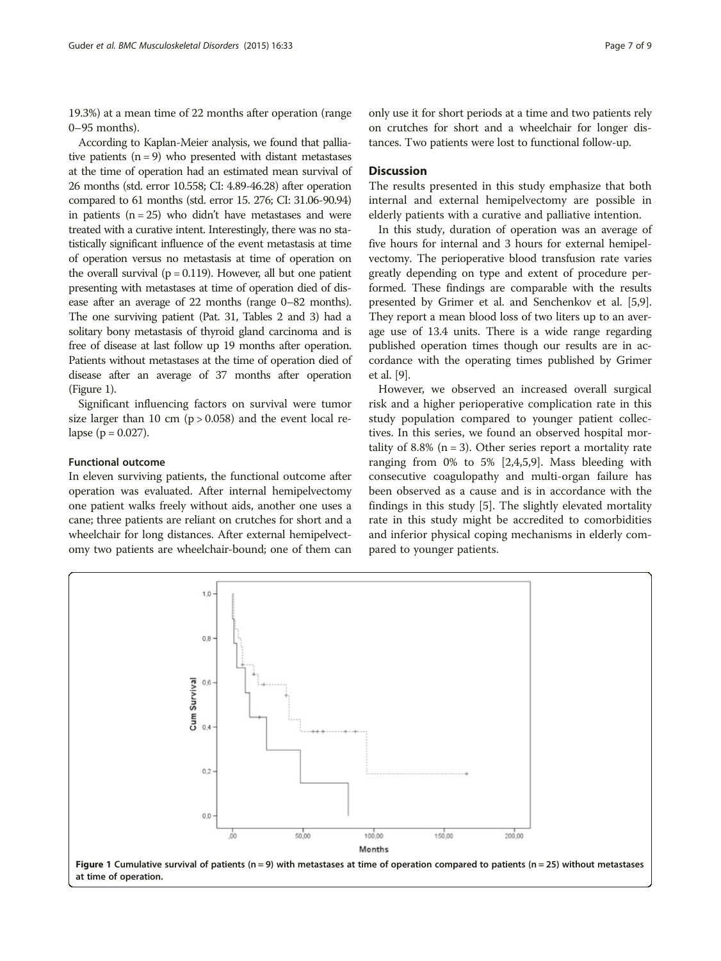19.3%) at a mean time of 22 months after operation (range 0–95 months).

According to Kaplan-Meier analysis, we found that palliative patients  $(n = 9)$  who presented with distant metastases at the time of operation had an estimated mean survival of 26 months (std. error 10.558; CI: 4.89-46.28) after operation compared to 61 months (std. error 15. 276; CI: 31.06-90.94) in patients  $(n = 25)$  who didn't have metastases and were treated with a curative intent. Interestingly, there was no statistically significant influence of the event metastasis at time of operation versus no metastasis at time of operation on the overall survival  $(p = 0.119)$ . However, all but one patient presenting with metastases at time of operation died of disease after an average of 22 months (range 0–82 months). The one surviving patient (Pat. 31, Tables [2](#page-3-0) and [3\)](#page-4-0) had a solitary bony metastasis of thyroid gland carcinoma and is free of disease at last follow up 19 months after operation. Patients without metastases at the time of operation died of disease after an average of 37 months after operation (Figure 1).

Significant influencing factors on survival were tumor size larger than 10 cm ( $p > 0.058$ ) and the event local relapse ( $p = 0.027$ ).

## Functional outcome

In eleven surviving patients, the functional outcome after operation was evaluated. After internal hemipelvectomy one patient walks freely without aids, another one uses a cane; three patients are reliant on crutches for short and a wheelchair for long distances. After external hemipelvectomy two patients are wheelchair-bound; one of them can

only use it for short periods at a time and two patients rely on crutches for short and a wheelchair for longer distances. Two patients were lost to functional follow-up.

## **Discussion**

The results presented in this study emphasize that both internal and external hemipelvectomy are possible in elderly patients with a curative and palliative intention.

In this study, duration of operation was an average of five hours for internal and 3 hours for external hemipelvectomy. The perioperative blood transfusion rate varies greatly depending on type and extent of procedure performed. These findings are comparable with the results presented by Grimer et al. and Senchenkov et al. [[5,9](#page-8-0)]. They report a mean blood loss of two liters up to an average use of 13.4 units. There is a wide range regarding published operation times though our results are in accordance with the operating times published by Grimer et al. [\[9](#page-8-0)].

However, we observed an increased overall surgical risk and a higher perioperative complication rate in this study population compared to younger patient collectives. In this series, we found an observed hospital mortality of 8.8% ( $n = 3$ ). Other series report a mortality rate ranging from 0% to 5% [[2](#page-8-0),[4,5,9\]](#page-8-0). Mass bleeding with consecutive coagulopathy and multi-organ failure has been observed as a cause and is in accordance with the findings in this study [[5\]](#page-8-0). The slightly elevated mortality rate in this study might be accredited to comorbidities and inferior physical coping mechanisms in elderly compared to younger patients.

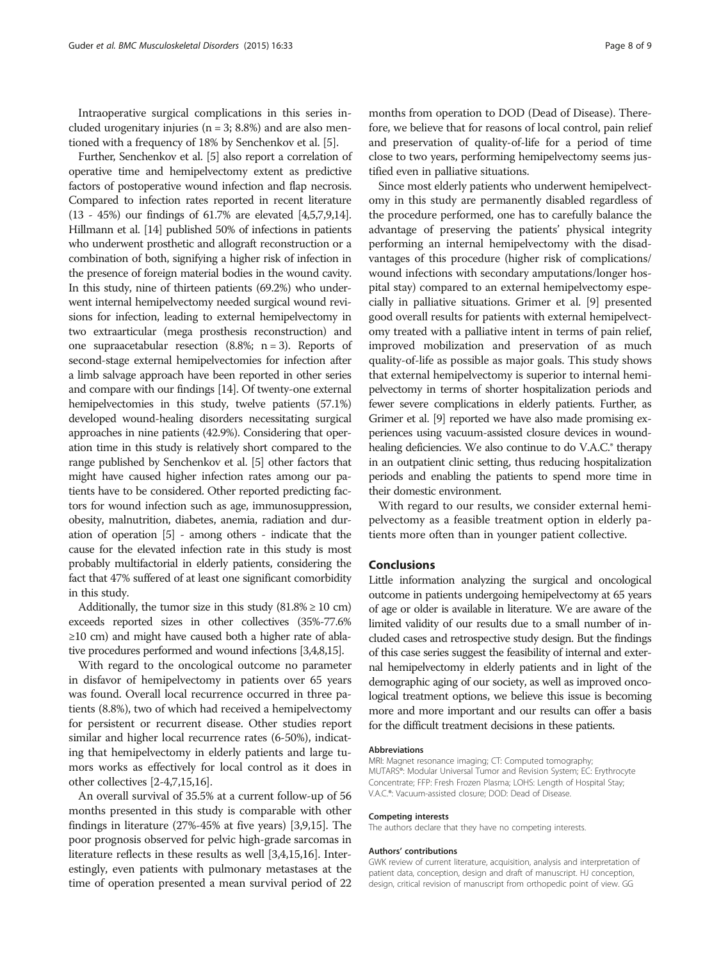Intraoperative surgical complications in this series included urogenitary injuries ( $n = 3$ ; 8.8%) and are also mentioned with a frequency of 18% by Senchenkov et al. [\[5\]](#page-8-0).

Further, Senchenkov et al. [[5](#page-8-0)] also report a correlation of operative time and hemipelvectomy extent as predictive factors of postoperative wound infection and flap necrosis. Compared to infection rates reported in recent literature (13 - 45%) our findings of 61.7% are elevated [\[4,5,7,9,14](#page-8-0)]. Hillmann et al. [[14](#page-8-0)] published 50% of infections in patients who underwent prosthetic and allograft reconstruction or a combination of both, signifying a higher risk of infection in the presence of foreign material bodies in the wound cavity. In this study, nine of thirteen patients (69.2%) who underwent internal hemipelvectomy needed surgical wound revisions for infection, leading to external hemipelvectomy in two extraarticular (mega prosthesis reconstruction) and one supraacetabular resection (8.8%; n = 3). Reports of second-stage external hemipelvectomies for infection after a limb salvage approach have been reported in other series and compare with our findings [[14](#page-8-0)]. Of twenty-one external hemipelvectomies in this study, twelve patients (57.1%) developed wound-healing disorders necessitating surgical approaches in nine patients (42.9%). Considering that operation time in this study is relatively short compared to the range published by Senchenkov et al. [[5](#page-8-0)] other factors that might have caused higher infection rates among our patients have to be considered. Other reported predicting factors for wound infection such as age, immunosuppression, obesity, malnutrition, diabetes, anemia, radiation and duration of operation [\[5\]](#page-8-0) - among others - indicate that the cause for the elevated infection rate in this study is most probably multifactorial in elderly patients, considering the fact that 47% suffered of at least one significant comorbidity in this study.

Additionally, the tumor size in this study  $(81.8\% \ge 10 \text{ cm})$ exceeds reported sizes in other collectives (35%-77.6%  $\geq$ 10 cm) and might have caused both a higher rate of ablative procedures performed and wound infections [[3,4,8,15](#page-8-0)].

With regard to the oncological outcome no parameter in disfavor of hemipelvectomy in patients over 65 years was found. Overall local recurrence occurred in three patients (8.8%), two of which had received a hemipelvectomy for persistent or recurrent disease. Other studies report similar and higher local recurrence rates (6-50%), indicating that hemipelvectomy in elderly patients and large tumors works as effectively for local control as it does in other collectives [\[2-4,7,15,16](#page-8-0)].

An overall survival of 35.5% at a current follow-up of 56 months presented in this study is comparable with other findings in literature (27%-45% at five years) [[3,9](#page-8-0),[15](#page-8-0)]. The poor prognosis observed for pelvic high-grade sarcomas in literature reflects in these results as well [[3,4,15,16\]](#page-8-0). Interestingly, even patients with pulmonary metastases at the time of operation presented a mean survival period of 22 months from operation to DOD (Dead of Disease). Therefore, we believe that for reasons of local control, pain relief and preservation of quality-of-life for a period of time close to two years, performing hemipelvectomy seems justified even in palliative situations.

Since most elderly patients who underwent hemipelvectomy in this study are permanently disabled regardless of the procedure performed, one has to carefully balance the advantage of preserving the patients' physical integrity performing an internal hemipelvectomy with the disadvantages of this procedure (higher risk of complications/ wound infections with secondary amputations/longer hospital stay) compared to an external hemipelvectomy especially in palliative situations. Grimer et al. [\[9](#page-8-0)] presented good overall results for patients with external hemipelvectomy treated with a palliative intent in terms of pain relief, improved mobilization and preservation of as much quality-of-life as possible as major goals. This study shows that external hemipelvectomy is superior to internal hemipelvectomy in terms of shorter hospitalization periods and fewer severe complications in elderly patients. Further, as Grimer et al. [[9](#page-8-0)] reported we have also made promising experiences using vacuum-assisted closure devices in woundhealing deficiencies. We also continue to do V.A.C.<sup>®</sup> therapy in an outpatient clinic setting, thus reducing hospitalization periods and enabling the patients to spend more time in their domestic environment.

With regard to our results, we consider external hemipelvectomy as a feasible treatment option in elderly patients more often than in younger patient collective.

#### Conclusions

Little information analyzing the surgical and oncological outcome in patients undergoing hemipelvectomy at 65 years of age or older is available in literature. We are aware of the limited validity of our results due to a small number of included cases and retrospective study design. But the findings of this case series suggest the feasibility of internal and external hemipelvectomy in elderly patients and in light of the demographic aging of our society, as well as improved oncological treatment options, we believe this issue is becoming more and more important and our results can offer a basis for the difficult treatment decisions in these patients.

#### Abbreviations

MRI: Magnet resonance imaging; CT: Computed tomography; MUTARS®: Modular Universal Tumor and Revision System; EC: Erythrocyte Concentrate; FFP: Fresh Frozen Plasma; LOHS: Length of Hospital Stay; V.A.C.®: Vacuum-assisted closure; DOD: Dead of Disease.

#### Competing interests

The authors declare that they have no competing interests.

#### Authors' contributions

GWK review of current literature, acquisition, analysis and interpretation of patient data, conception, design and draft of manuscript. HJ conception, design, critical revision of manuscript from orthopedic point of view. GG